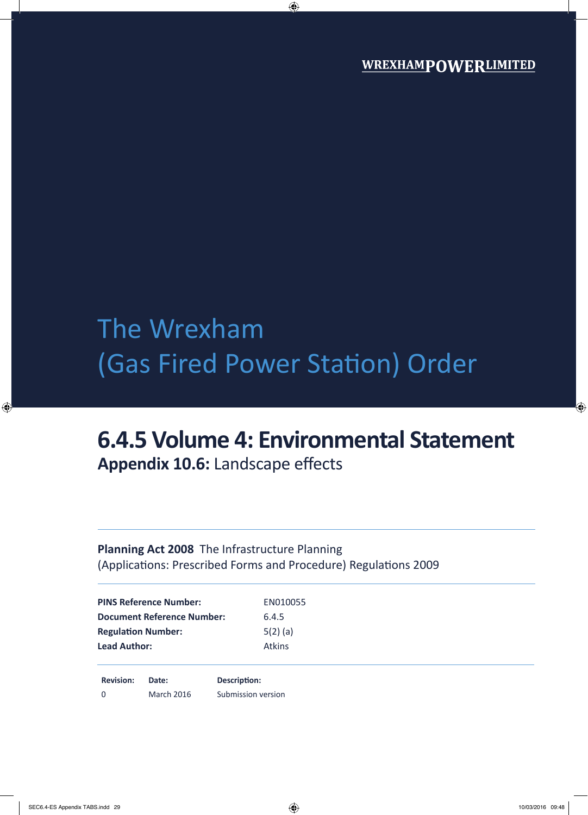## The Wrexham (Gas Fired Power Station) Order

# **6.4.5 Volume 4: Environmental Statement**

**Appendix 10.6:** Landscape effects

### **Planning Act 2008** The Infrastructure Planning (Applications: Prescribed Forms and Procedure) Regulations 2009

| <b>PINS Reference Number:</b>     | EN010055      |  |
|-----------------------------------|---------------|--|
| <b>Document Reference Number:</b> | 6.4.5         |  |
| <b>Regulation Number:</b>         | $5(2)$ (a)    |  |
| <b>Lead Author:</b>               | <b>Atkins</b> |  |
|                                   |               |  |

**Revision: Date: Description:** 0 March 2016 Submission version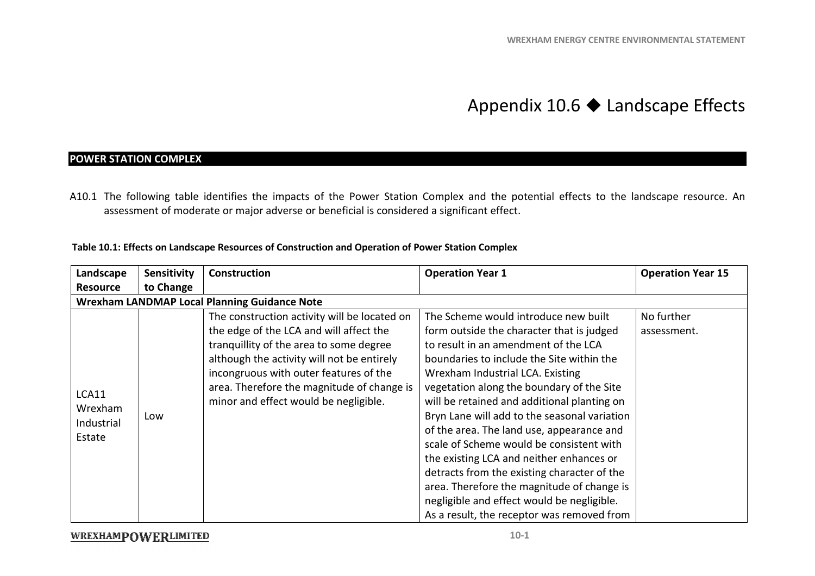### Appendix 10.6  $\blacklozenge$  Landscape Effects

#### **POWER STATION COMPLEX**

A10.1 The following table identifies the impacts of the Power Station Complex and the potential effects to the landscape resource. An assessment of moderate or major adverse or beneficial is considered a significant effect.

#### **Table 10.1: Effects on Landscape Resources of Construction and Operation of Power Station Complex s**

| Landscape       | <b>Sensitivity</b>                                  | <b>Construction</b>                          | <b>Operation Year 1</b>                      | <b>Operation Year 15</b> |  |
|-----------------|-----------------------------------------------------|----------------------------------------------|----------------------------------------------|--------------------------|--|
| <b>Resource</b> | to Change                                           |                                              |                                              |                          |  |
|                 | <b>Wrexham LANDMAP Local Planning Guidance Note</b> |                                              |                                              |                          |  |
|                 |                                                     | The construction activity will be located on | The Scheme would introduce new built         | No further               |  |
|                 |                                                     | the edge of the LCA and will affect the      | form outside the character that is judged    | assessment.              |  |
|                 |                                                     | tranquillity of the area to some degree      | to result in an amendment of the LCA         |                          |  |
|                 |                                                     | although the activity will not be entirely   | boundaries to include the Site within the    |                          |  |
|                 |                                                     | incongruous with outer features of the       | Wrexham Industrial LCA. Existing             |                          |  |
| LCA11           |                                                     | area. Therefore the magnitude of change is   | vegetation along the boundary of the Site    |                          |  |
| Wrexham         |                                                     | minor and effect would be negligible.        | will be retained and additional planting on  |                          |  |
| Industrial      | Low                                                 |                                              | Bryn Lane will add to the seasonal variation |                          |  |
| Estate          |                                                     |                                              | of the area. The land use, appearance and    |                          |  |
|                 |                                                     |                                              | scale of Scheme would be consistent with     |                          |  |
|                 |                                                     |                                              | the existing LCA and neither enhances or     |                          |  |
|                 |                                                     |                                              | detracts from the existing character of the  |                          |  |
|                 |                                                     |                                              | area. Therefore the magnitude of change is   |                          |  |
|                 |                                                     |                                              | negligible and effect would be negligible.   |                          |  |
|                 |                                                     |                                              | As a result, the receptor was removed from   |                          |  |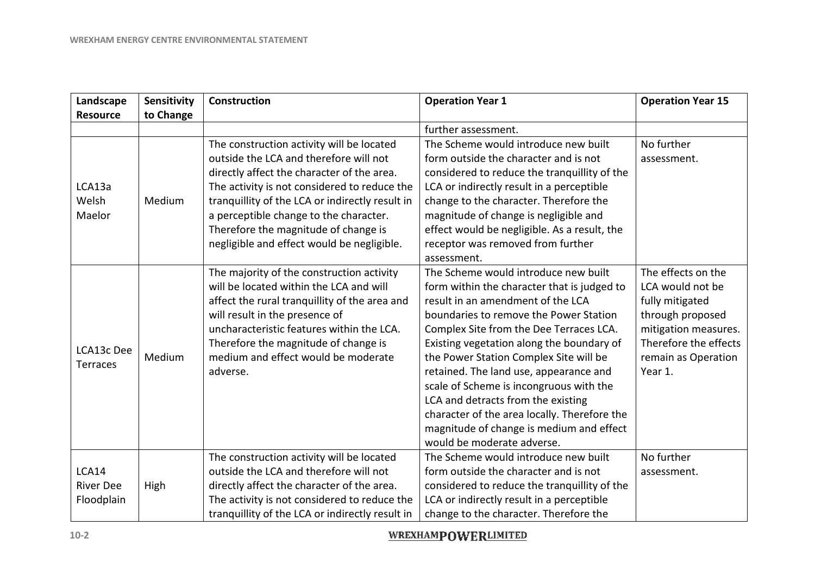| Landscape        | Sensitivity | <b>Construction</b>                             | <b>Operation Year 1</b>                      | <b>Operation Year 15</b> |
|------------------|-------------|-------------------------------------------------|----------------------------------------------|--------------------------|
| <b>Resource</b>  | to Change   |                                                 |                                              |                          |
|                  |             |                                                 | further assessment.                          |                          |
|                  |             | The construction activity will be located       | The Scheme would introduce new built         | No further               |
|                  |             | outside the LCA and therefore will not          | form outside the character and is not        | assessment.              |
|                  |             | directly affect the character of the area.      | considered to reduce the tranquillity of the |                          |
| LCA13a           |             | The activity is not considered to reduce the    | LCA or indirectly result in a perceptible    |                          |
| Welsh            | Medium      | tranquillity of the LCA or indirectly result in | change to the character. Therefore the       |                          |
| Maelor           |             | a perceptible change to the character.          | magnitude of change is negligible and        |                          |
|                  |             | Therefore the magnitude of change is            | effect would be negligible. As a result, the |                          |
|                  |             | negligible and effect would be negligible.      | receptor was removed from further            |                          |
|                  |             |                                                 | assessment.                                  |                          |
|                  |             | The majority of the construction activity       | The Scheme would introduce new built         | The effects on the       |
|                  |             | will be located within the LCA and will         | form within the character that is judged to  | LCA would not be         |
|                  |             | affect the rural tranquillity of the area and   | result in an amendment of the LCA            | fully mitigated          |
|                  |             | will result in the presence of                  | boundaries to remove the Power Station       | through proposed         |
|                  |             | uncharacteristic features within the LCA.       | Complex Site from the Dee Terraces LCA.      | mitigation measures.     |
| LCA13c Dee       |             | Therefore the magnitude of change is            | Existing vegetation along the boundary of    | Therefore the effects    |
| Terraces         | Medium      | medium and effect would be moderate             | the Power Station Complex Site will be       | remain as Operation      |
|                  |             | adverse.                                        | retained. The land use, appearance and       | Year 1.                  |
|                  |             |                                                 | scale of Scheme is incongruous with the      |                          |
|                  |             |                                                 | LCA and detracts from the existing           |                          |
|                  |             |                                                 | character of the area locally. Therefore the |                          |
|                  |             |                                                 | magnitude of change is medium and effect     |                          |
|                  |             |                                                 | would be moderate adverse.                   |                          |
|                  |             | The construction activity will be located       | The Scheme would introduce new built         | No further               |
| LCA14            |             | outside the LCA and therefore will not          | form outside the character and is not        | assessment.              |
| <b>River Dee</b> | High        | directly affect the character of the area.      | considered to reduce the tranquillity of the |                          |
| Floodplain       |             | The activity is not considered to reduce the    | LCA or indirectly result in a perceptible    |                          |
|                  |             | tranquillity of the LCA or indirectly result in | change to the character. Therefore the       |                          |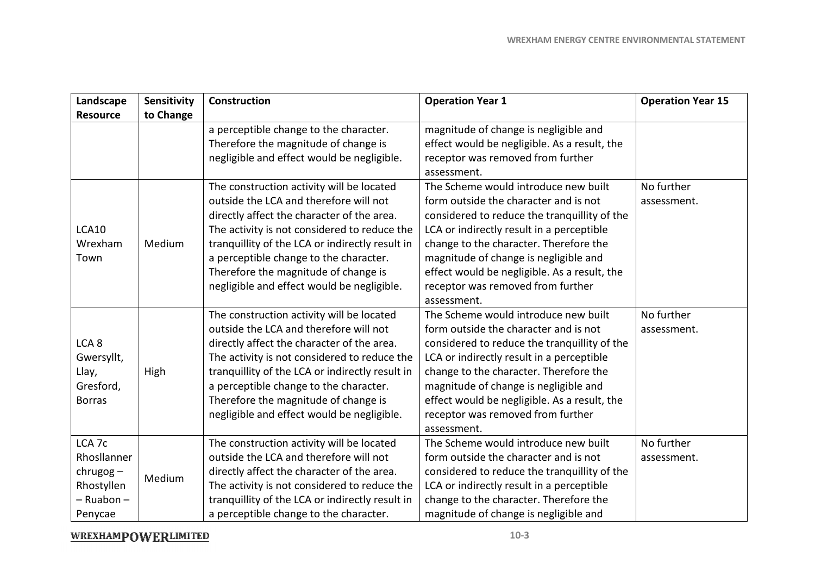| Landscape         | Sensitivity | <b>Construction</b>                             | <b>Operation Year 1</b>                      | <b>Operation Year 15</b> |
|-------------------|-------------|-------------------------------------------------|----------------------------------------------|--------------------------|
| <b>Resource</b>   | to Change   |                                                 |                                              |                          |
|                   |             | a perceptible change to the character.          | magnitude of change is negligible and        |                          |
|                   |             | Therefore the magnitude of change is            | effect would be negligible. As a result, the |                          |
|                   |             | negligible and effect would be negligible.      | receptor was removed from further            |                          |
|                   |             |                                                 | assessment.                                  |                          |
|                   |             | The construction activity will be located       | The Scheme would introduce new built         | No further               |
|                   |             | outside the LCA and therefore will not          | form outside the character and is not        | assessment.              |
|                   |             | directly affect the character of the area.      | considered to reduce the tranquillity of the |                          |
| <b>LCA10</b>      |             | The activity is not considered to reduce the    | LCA or indirectly result in a perceptible    |                          |
| Wrexham           | Medium      | tranquillity of the LCA or indirectly result in | change to the character. Therefore the       |                          |
| Town              |             | a perceptible change to the character.          | magnitude of change is negligible and        |                          |
|                   |             | Therefore the magnitude of change is            | effect would be negligible. As a result, the |                          |
|                   |             | negligible and effect would be negligible.      | receptor was removed from further            |                          |
|                   |             |                                                 | assessment.                                  |                          |
|                   |             | The construction activity will be located       | The Scheme would introduce new built         | No further               |
|                   |             | outside the LCA and therefore will not          | form outside the character and is not        | assessment.              |
| LCA <sub>8</sub>  |             | directly affect the character of the area.      | considered to reduce the tranquillity of the |                          |
| Gwersyllt,        |             | The activity is not considered to reduce the    | LCA or indirectly result in a perceptible    |                          |
| Llay,             | High        | tranquillity of the LCA or indirectly result in | change to the character. Therefore the       |                          |
| Gresford,         |             | a perceptible change to the character.          | magnitude of change is negligible and        |                          |
| <b>Borras</b>     |             | Therefore the magnitude of change is            | effect would be negligible. As a result, the |                          |
|                   |             | negligible and effect would be negligible.      | receptor was removed from further            |                          |
|                   |             |                                                 | assessment.                                  |                          |
| LCA <sub>7c</sub> |             | The construction activity will be located       | The Scheme would introduce new built         | No further               |
| Rhosllanner       |             | outside the LCA and therefore will not          | form outside the character and is not        | assessment.              |
| $chrugog -$       | Medium      | directly affect the character of the area.      | considered to reduce the tranquillity of the |                          |
| Rhostyllen        |             | The activity is not considered to reduce the    | LCA or indirectly result in a perceptible    |                          |
| - Ruabon -        |             | tranquillity of the LCA or indirectly result in | change to the character. Therefore the       |                          |
| Penycae           |             | a perceptible change to the character.          | magnitude of change is negligible and        |                          |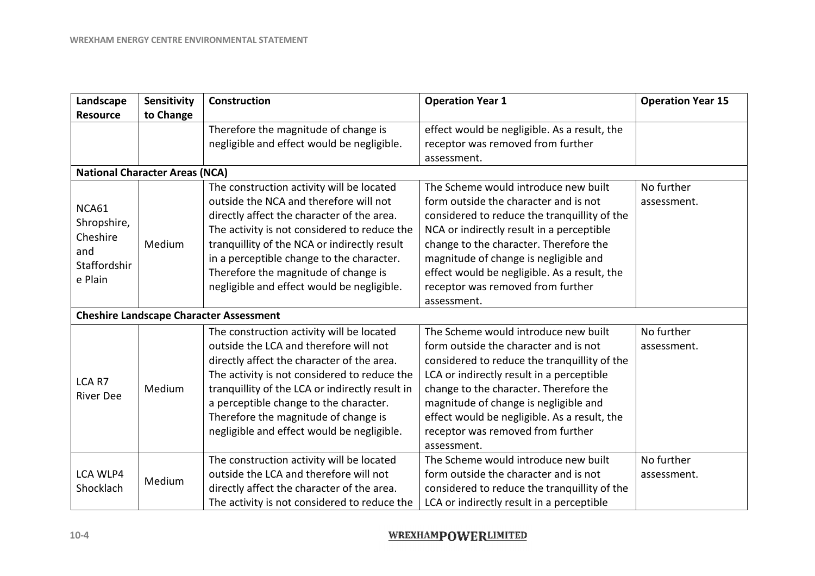| Landscape                                                          | Sensitivity                           | <b>Construction</b>                                                                                                                                                                                                                                                                                                                                                  | <b>Operation Year 1</b>                                                                                                                                                                                                                                                                                                                                           | <b>Operation Year 15</b>  |
|--------------------------------------------------------------------|---------------------------------------|----------------------------------------------------------------------------------------------------------------------------------------------------------------------------------------------------------------------------------------------------------------------------------------------------------------------------------------------------------------------|-------------------------------------------------------------------------------------------------------------------------------------------------------------------------------------------------------------------------------------------------------------------------------------------------------------------------------------------------------------------|---------------------------|
| <b>Resource</b>                                                    | to Change                             |                                                                                                                                                                                                                                                                                                                                                                      |                                                                                                                                                                                                                                                                                                                                                                   |                           |
|                                                                    |                                       | Therefore the magnitude of change is<br>negligible and effect would be negligible.                                                                                                                                                                                                                                                                                   | effect would be negligible. As a result, the<br>receptor was removed from further<br>assessment.                                                                                                                                                                                                                                                                  |                           |
|                                                                    | <b>National Character Areas (NCA)</b> |                                                                                                                                                                                                                                                                                                                                                                      |                                                                                                                                                                                                                                                                                                                                                                   |                           |
| NCA61<br>Shropshire,<br>Cheshire<br>and<br>Staffordshir<br>e Plain | Medium                                | The construction activity will be located<br>outside the NCA and therefore will not<br>directly affect the character of the area.<br>The activity is not considered to reduce the<br>tranquillity of the NCA or indirectly result<br>in a perceptible change to the character.<br>Therefore the magnitude of change is<br>negligible and effect would be negligible. | The Scheme would introduce new built<br>form outside the character and is not<br>considered to reduce the tranquillity of the<br>NCA or indirectly result in a perceptible<br>change to the character. Therefore the<br>magnitude of change is negligible and<br>effect would be negligible. As a result, the<br>receptor was removed from further<br>assessment. | No further<br>assessment. |
|                                                                    |                                       | <b>Cheshire Landscape Character Assessment</b>                                                                                                                                                                                                                                                                                                                       |                                                                                                                                                                                                                                                                                                                                                                   |                           |
| LCA R7<br><b>River Dee</b>                                         | Medium                                | The construction activity will be located<br>outside the LCA and therefore will not<br>directly affect the character of the area.<br>The activity is not considered to reduce the<br>tranquillity of the LCA or indirectly result in<br>a perceptible change to the character.<br>Therefore the magnitude of change is<br>negligible and effect would be negligible. | The Scheme would introduce new built<br>form outside the character and is not<br>considered to reduce the tranquillity of the<br>LCA or indirectly result in a perceptible<br>change to the character. Therefore the<br>magnitude of change is negligible and<br>effect would be negligible. As a result, the<br>receptor was removed from further<br>assessment. | No further<br>assessment. |
| LCA WLP4<br>Shocklach                                              | Medium                                | The construction activity will be located<br>outside the LCA and therefore will not<br>directly affect the character of the area.<br>The activity is not considered to reduce the                                                                                                                                                                                    | The Scheme would introduce new built<br>form outside the character and is not<br>considered to reduce the tranquillity of the<br>LCA or indirectly result in a perceptible                                                                                                                                                                                        | No further<br>assessment. |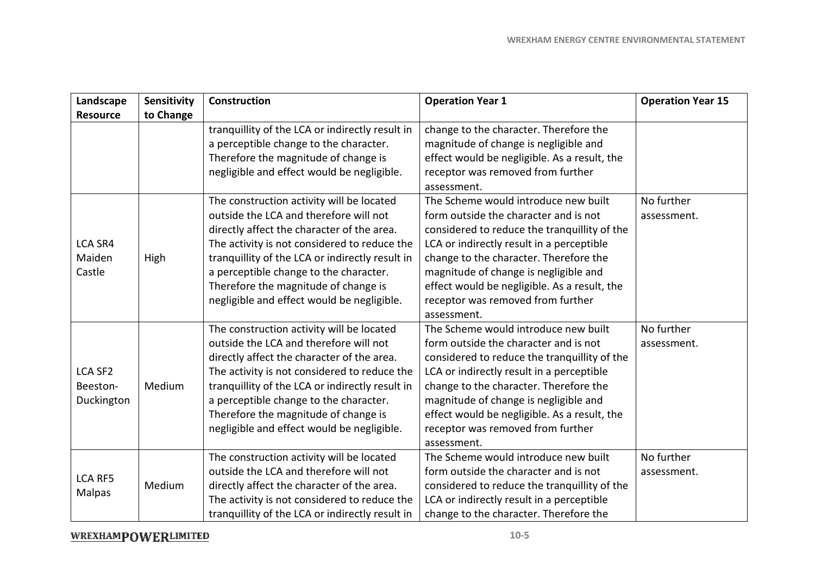| Landscape<br><b>Resource</b>             | Sensitivity<br>to Change | <b>Construction</b>                                                                                                                                                                                                                                                                                                                                                  | <b>Operation Year 1</b>                                                                                                                                                                                                                                                                                                                                           | <b>Operation Year 15</b>  |
|------------------------------------------|--------------------------|----------------------------------------------------------------------------------------------------------------------------------------------------------------------------------------------------------------------------------------------------------------------------------------------------------------------------------------------------------------------|-------------------------------------------------------------------------------------------------------------------------------------------------------------------------------------------------------------------------------------------------------------------------------------------------------------------------------------------------------------------|---------------------------|
|                                          |                          | tranquillity of the LCA or indirectly result in<br>a perceptible change to the character.<br>Therefore the magnitude of change is<br>negligible and effect would be negligible.                                                                                                                                                                                      | change to the character. Therefore the<br>magnitude of change is negligible and<br>effect would be negligible. As a result, the<br>receptor was removed from further<br>assessment.                                                                                                                                                                               |                           |
| <b>LCA SR4</b><br>Maiden<br>Castle       | High                     | The construction activity will be located<br>outside the LCA and therefore will not<br>directly affect the character of the area.<br>The activity is not considered to reduce the<br>tranquillity of the LCA or indirectly result in<br>a perceptible change to the character.<br>Therefore the magnitude of change is<br>negligible and effect would be negligible. | The Scheme would introduce new built<br>form outside the character and is not<br>considered to reduce the tranquillity of the<br>LCA or indirectly result in a perceptible<br>change to the character. Therefore the<br>magnitude of change is negligible and<br>effect would be negligible. As a result, the<br>receptor was removed from further<br>assessment. | No further<br>assessment. |
| <b>LCA SF2</b><br>Beeston-<br>Duckington | Medium                   | The construction activity will be located<br>outside the LCA and therefore will not<br>directly affect the character of the area.<br>The activity is not considered to reduce the<br>tranquillity of the LCA or indirectly result in<br>a perceptible change to the character.<br>Therefore the magnitude of change is<br>negligible and effect would be negligible. | The Scheme would introduce new built<br>form outside the character and is not<br>considered to reduce the tranquillity of the<br>LCA or indirectly result in a perceptible<br>change to the character. Therefore the<br>magnitude of change is negligible and<br>effect would be negligible. As a result, the<br>receptor was removed from further<br>assessment. | No further<br>assessment. |
| <b>LCA RF5</b><br>Malpas                 | Medium                   | The construction activity will be located<br>outside the LCA and therefore will not<br>directly affect the character of the area.<br>The activity is not considered to reduce the<br>tranquillity of the LCA or indirectly result in                                                                                                                                 | The Scheme would introduce new built<br>form outside the character and is not<br>considered to reduce the tranquillity of the<br>LCA or indirectly result in a perceptible<br>change to the character. Therefore the                                                                                                                                              | No further<br>assessment. |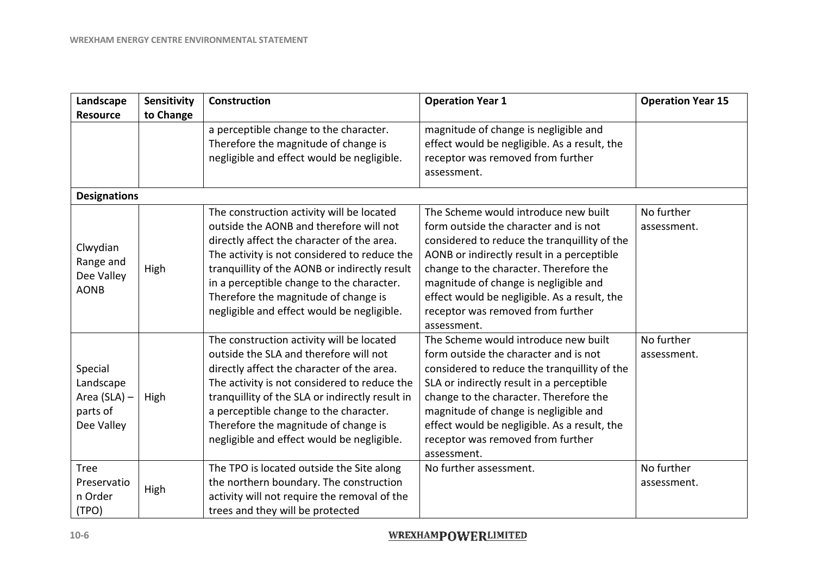| Landscape                                                      | <b>Sensitivity</b> | <b>Construction</b>                                                                                                                                                                                                                                                                                                                                                    | <b>Operation Year 1</b>                                                                                                                                                                                                                                                                                                                                            | <b>Operation Year 15</b>  |
|----------------------------------------------------------------|--------------------|------------------------------------------------------------------------------------------------------------------------------------------------------------------------------------------------------------------------------------------------------------------------------------------------------------------------------------------------------------------------|--------------------------------------------------------------------------------------------------------------------------------------------------------------------------------------------------------------------------------------------------------------------------------------------------------------------------------------------------------------------|---------------------------|
| <b>Resource</b>                                                | to Change          |                                                                                                                                                                                                                                                                                                                                                                        |                                                                                                                                                                                                                                                                                                                                                                    |                           |
|                                                                |                    | a perceptible change to the character.<br>Therefore the magnitude of change is<br>negligible and effect would be negligible.                                                                                                                                                                                                                                           | magnitude of change is negligible and<br>effect would be negligible. As a result, the<br>receptor was removed from further<br>assessment.                                                                                                                                                                                                                          |                           |
| <b>Designations</b>                                            |                    |                                                                                                                                                                                                                                                                                                                                                                        |                                                                                                                                                                                                                                                                                                                                                                    |                           |
| Clwydian<br>Range and<br>Dee Valley<br><b>AONB</b>             | High               | The construction activity will be located<br>outside the AONB and therefore will not<br>directly affect the character of the area.<br>The activity is not considered to reduce the<br>tranquillity of the AONB or indirectly result<br>in a perceptible change to the character.<br>Therefore the magnitude of change is<br>negligible and effect would be negligible. | The Scheme would introduce new built<br>form outside the character and is not<br>considered to reduce the tranquillity of the<br>AONB or indirectly result in a perceptible<br>change to the character. Therefore the<br>magnitude of change is negligible and<br>effect would be negligible. As a result, the<br>receptor was removed from further<br>assessment. | No further<br>assessment. |
| Special<br>Landscape<br>Area (SLA) -<br>parts of<br>Dee Valley | High               | The construction activity will be located<br>outside the SLA and therefore will not<br>directly affect the character of the area.<br>The activity is not considered to reduce the<br>tranquillity of the SLA or indirectly result in<br>a perceptible change to the character.<br>Therefore the magnitude of change is<br>negligible and effect would be negligible.   | The Scheme would introduce new built<br>form outside the character and is not<br>considered to reduce the tranquillity of the<br>SLA or indirectly result in a perceptible<br>change to the character. Therefore the<br>magnitude of change is negligible and<br>effect would be negligible. As a result, the<br>receptor was removed from further<br>assessment.  | No further<br>assessment. |
| <b>Tree</b><br>Preservatio<br>n Order<br>(TPO)                 | High               | The TPO is located outside the Site along<br>the northern boundary. The construction<br>activity will not require the removal of the<br>trees and they will be protected                                                                                                                                                                                               | No further assessment.                                                                                                                                                                                                                                                                                                                                             | No further<br>assessment. |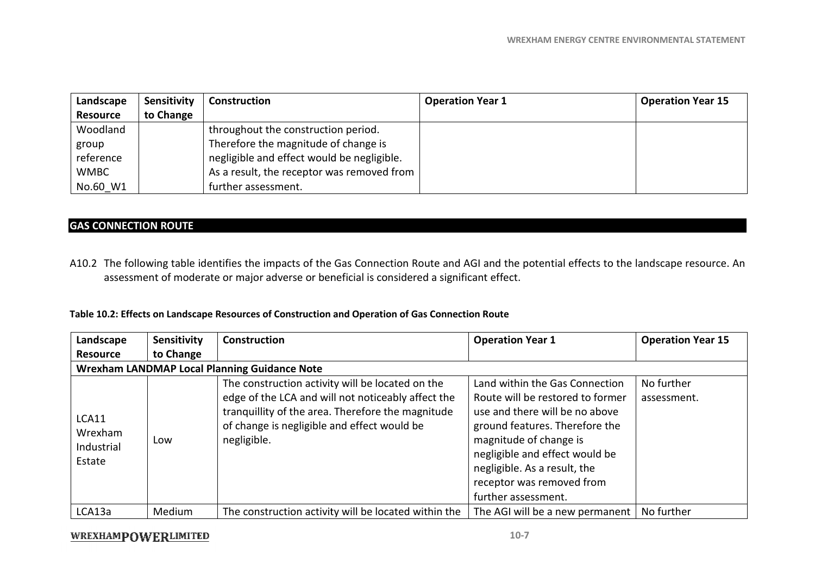| Landscape       | Sensitivity | <b>Construction</b>                        | <b>Operation Year 1</b> | <b>Operation Year 15</b> |
|-----------------|-------------|--------------------------------------------|-------------------------|--------------------------|
| <b>Resource</b> | to Change   |                                            |                         |                          |
| Woodland        |             | throughout the construction period.        |                         |                          |
| group           |             | Therefore the magnitude of change is       |                         |                          |
| reference       |             | negligible and effect would be negligible. |                         |                          |
| <b>WMBC</b>     |             | As a result, the receptor was removed from |                         |                          |
| No.60 W1        |             | further assessment.                        |                         |                          |

#### **GAS CONNECTION ROUTE**

A10.2 The following table identifies the impacts of the Gas Connection Route and AGI and the potential effects to the landscape resource. An assessment of moderate or major adverse or beneficial is considered a significant effect.

#### **Table 10.2: Effects on Landscape Resources of Construction and Operation of Gas Connection Route**

| Landscape                                | Sensitivity                                         | <b>Construction</b>                                                                                                                                                                                                       | <b>Operation Year 1</b>                                                                                                                                                                                                                                                                | <b>Operation Year 15</b>  |  |
|------------------------------------------|-----------------------------------------------------|---------------------------------------------------------------------------------------------------------------------------------------------------------------------------------------------------------------------------|----------------------------------------------------------------------------------------------------------------------------------------------------------------------------------------------------------------------------------------------------------------------------------------|---------------------------|--|
| <b>Resource</b>                          | to Change                                           |                                                                                                                                                                                                                           |                                                                                                                                                                                                                                                                                        |                           |  |
|                                          | <b>Wrexham LANDMAP Local Planning Guidance Note</b> |                                                                                                                                                                                                                           |                                                                                                                                                                                                                                                                                        |                           |  |
| LCA11<br>Wrexham<br>Industrial<br>Estate | Low                                                 | The construction activity will be located on the<br>edge of the LCA and will not noticeably affect the<br>tranguillity of the area. Therefore the magnitude<br>of change is negligible and effect would be<br>negligible. | Land within the Gas Connection<br>Route will be restored to former<br>use and there will be no above<br>ground features. Therefore the<br>magnitude of change is<br>negligible and effect would be<br>negligible. As a result, the<br>receptor was removed from<br>further assessment. | No further<br>assessment. |  |
| LCA13a                                   | Medium                                              | The construction activity will be located within the                                                                                                                                                                      | The AGI will be a new permanent   No further                                                                                                                                                                                                                                           |                           |  |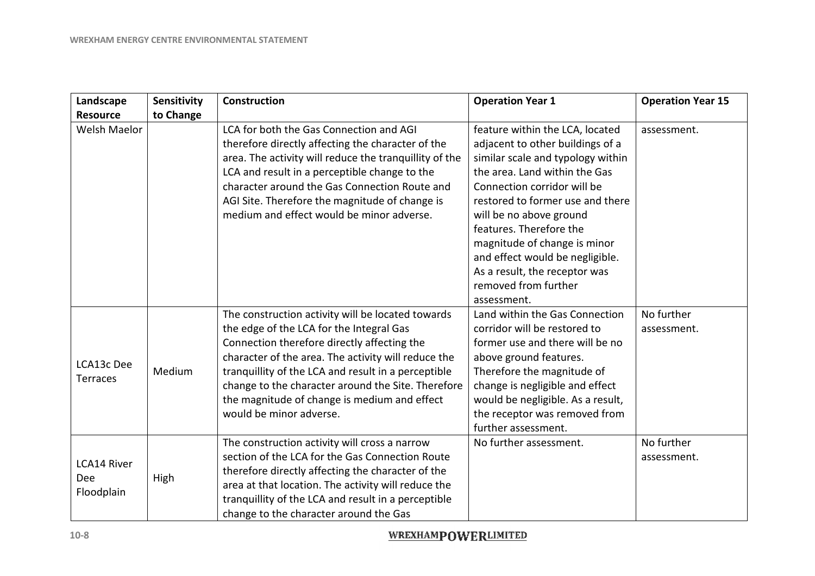| Landscape                                      | Sensitivity | <b>Construction</b>                                                                                                                                                                                                                                                                                                                                                                         | <b>Operation Year 1</b>                                                                                                                                                                                                                                                                                                                                                                                       | <b>Operation Year 15</b>  |
|------------------------------------------------|-------------|---------------------------------------------------------------------------------------------------------------------------------------------------------------------------------------------------------------------------------------------------------------------------------------------------------------------------------------------------------------------------------------------|---------------------------------------------------------------------------------------------------------------------------------------------------------------------------------------------------------------------------------------------------------------------------------------------------------------------------------------------------------------------------------------------------------------|---------------------------|
| <b>Resource</b>                                | to Change   |                                                                                                                                                                                                                                                                                                                                                                                             |                                                                                                                                                                                                                                                                                                                                                                                                               |                           |
| Welsh Maelor                                   |             | LCA for both the Gas Connection and AGI<br>therefore directly affecting the character of the<br>area. The activity will reduce the tranquillity of the<br>LCA and result in a perceptible change to the<br>character around the Gas Connection Route and<br>AGI Site. Therefore the magnitude of change is<br>medium and effect would be minor adverse.                                     | feature within the LCA, located<br>adjacent to other buildings of a<br>similar scale and typology within<br>the area. Land within the Gas<br>Connection corridor will be<br>restored to former use and there<br>will be no above ground<br>features. Therefore the<br>magnitude of change is minor<br>and effect would be negligible.<br>As a result, the receptor was<br>removed from further<br>assessment. | assessment.               |
| LCA13c Dee<br><b>Terraces</b>                  | Medium      | The construction activity will be located towards<br>the edge of the LCA for the Integral Gas<br>Connection therefore directly affecting the<br>character of the area. The activity will reduce the<br>tranquillity of the LCA and result in a perceptible<br>change to the character around the Site. Therefore<br>the magnitude of change is medium and effect<br>would be minor adverse. | Land within the Gas Connection<br>corridor will be restored to<br>former use and there will be no<br>above ground features.<br>Therefore the magnitude of<br>change is negligible and effect<br>would be negligible. As a result,<br>the receptor was removed from<br>further assessment.                                                                                                                     | No further<br>assessment. |
| <b>LCA14 River</b><br><b>Dee</b><br>Floodplain | High        | The construction activity will cross a narrow<br>section of the LCA for the Gas Connection Route<br>therefore directly affecting the character of the<br>area at that location. The activity will reduce the<br>tranquillity of the LCA and result in a perceptible<br>change to the character around the Gas                                                                               | No further assessment.                                                                                                                                                                                                                                                                                                                                                                                        | No further<br>assessment. |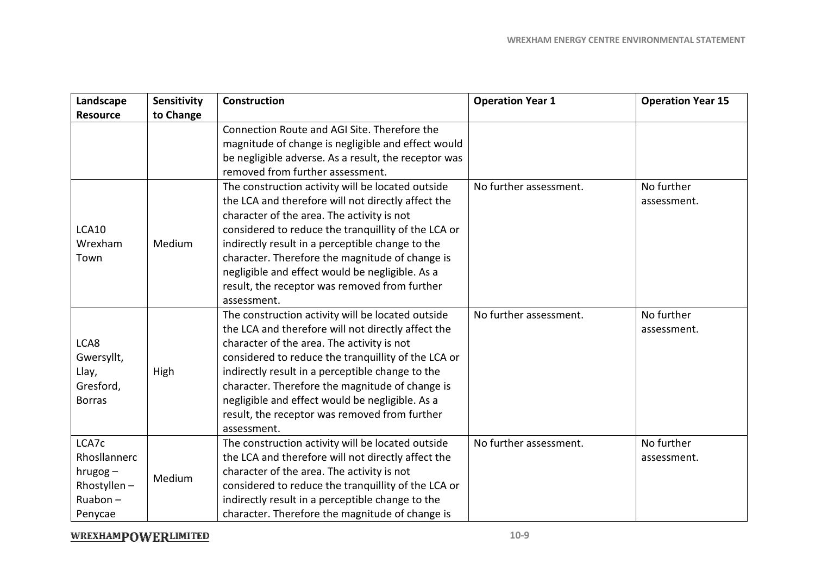| Landscape       | Sensitivity | <b>Construction</b>                                  | <b>Operation Year 1</b> | <b>Operation Year 15</b> |
|-----------------|-------------|------------------------------------------------------|-------------------------|--------------------------|
| <b>Resource</b> | to Change   |                                                      |                         |                          |
|                 |             | Connection Route and AGI Site. Therefore the         |                         |                          |
|                 |             | magnitude of change is negligible and effect would   |                         |                          |
|                 |             | be negligible adverse. As a result, the receptor was |                         |                          |
|                 |             | removed from further assessment.                     |                         |                          |
|                 |             | The construction activity will be located outside    | No further assessment.  | No further               |
|                 |             | the LCA and therefore will not directly affect the   |                         | assessment.              |
|                 |             | character of the area. The activity is not           |                         |                          |
| <b>LCA10</b>    |             | considered to reduce the tranquillity of the LCA or  |                         |                          |
| Wrexham         | Medium      | indirectly result in a perceptible change to the     |                         |                          |
| Town            |             | character. Therefore the magnitude of change is      |                         |                          |
|                 |             | negligible and effect would be negligible. As a      |                         |                          |
|                 |             | result, the receptor was removed from further        |                         |                          |
|                 |             | assessment.                                          |                         |                          |
|                 |             | The construction activity will be located outside    | No further assessment.  | No further               |
|                 |             | the LCA and therefore will not directly affect the   |                         | assessment.              |
| LCA8            |             | character of the area. The activity is not           |                         |                          |
| Gwersyllt,      |             | considered to reduce the tranquillity of the LCA or  |                         |                          |
| Llay,           | High        | indirectly result in a perceptible change to the     |                         |                          |
| Gresford,       |             | character. Therefore the magnitude of change is      |                         |                          |
| <b>Borras</b>   |             | negligible and effect would be negligible. As a      |                         |                          |
|                 |             | result, the receptor was removed from further        |                         |                          |
|                 |             | assessment.                                          |                         |                          |
| LCA7c           |             | The construction activity will be located outside    | No further assessment.  | No further               |
| Rhosllannerc    |             | the LCA and therefore will not directly affect the   |                         | assessment.              |
| $hrugog -$      | Medium      | character of the area. The activity is not           |                         |                          |
| Rhostyllen-     |             | considered to reduce the tranquillity of the LCA or  |                         |                          |
| $Ruabon -$      |             | indirectly result in a perceptible change to the     |                         |                          |
| Penycae         |             | character. Therefore the magnitude of change is      |                         |                          |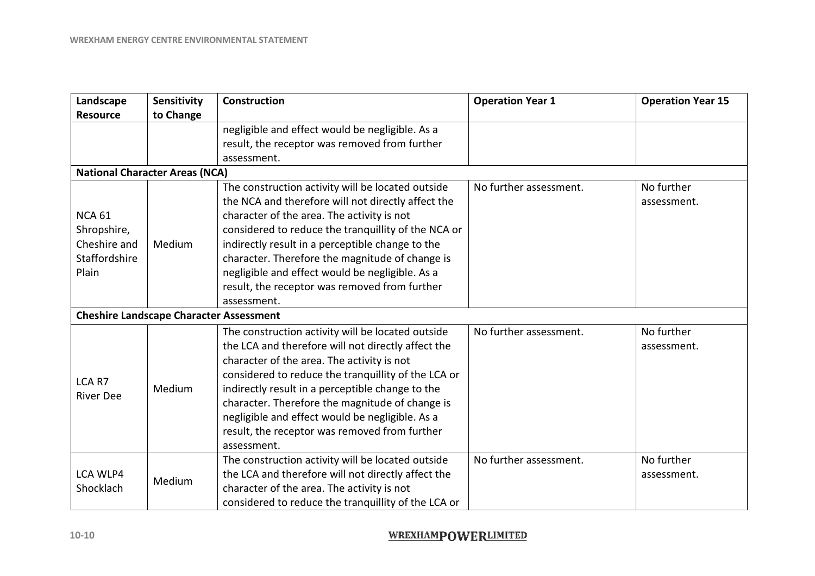| Landscape                                      | Sensitivity | <b>Construction</b>                                 | <b>Operation Year 1</b> | <b>Operation Year 15</b> |
|------------------------------------------------|-------------|-----------------------------------------------------|-------------------------|--------------------------|
| <b>Resource</b>                                | to Change   |                                                     |                         |                          |
|                                                |             | negligible and effect would be negligible. As a     |                         |                          |
|                                                |             | result, the receptor was removed from further       |                         |                          |
|                                                |             | assessment.                                         |                         |                          |
| <b>National Character Areas (NCA)</b>          |             |                                                     |                         |                          |
|                                                |             | The construction activity will be located outside   | No further assessment.  | No further               |
|                                                |             | the NCA and therefore will not directly affect the  |                         | assessment.              |
| <b>NCA 61</b>                                  |             | character of the area. The activity is not          |                         |                          |
| Shropshire,                                    |             | considered to reduce the tranquillity of the NCA or |                         |                          |
| Cheshire and                                   | Medium      | indirectly result in a perceptible change to the    |                         |                          |
| Staffordshire                                  |             | character. Therefore the magnitude of change is     |                         |                          |
| Plain                                          |             | negligible and effect would be negligible. As a     |                         |                          |
|                                                |             | result, the receptor was removed from further       |                         |                          |
|                                                |             | assessment.                                         |                         |                          |
| <b>Cheshire Landscape Character Assessment</b> |             |                                                     |                         |                          |
|                                                |             | The construction activity will be located outside   | No further assessment.  | No further               |
|                                                |             | the LCA and therefore will not directly affect the  |                         | assessment.              |
|                                                |             | character of the area. The activity is not          |                         |                          |
| LCA R7                                         |             | considered to reduce the tranquillity of the LCA or |                         |                          |
| <b>River Dee</b>                               | Medium      | indirectly result in a perceptible change to the    |                         |                          |
|                                                |             | character. Therefore the magnitude of change is     |                         |                          |
|                                                |             | negligible and effect would be negligible. As a     |                         |                          |
|                                                |             | result, the receptor was removed from further       |                         |                          |
|                                                |             | assessment.                                         |                         |                          |
|                                                |             | The construction activity will be located outside   | No further assessment.  | No further               |
| LCA WLP4                                       | Medium      | the LCA and therefore will not directly affect the  |                         | assessment.              |
| Shocklach                                      |             | character of the area. The activity is not          |                         |                          |
|                                                |             | considered to reduce the tranquillity of the LCA or |                         |                          |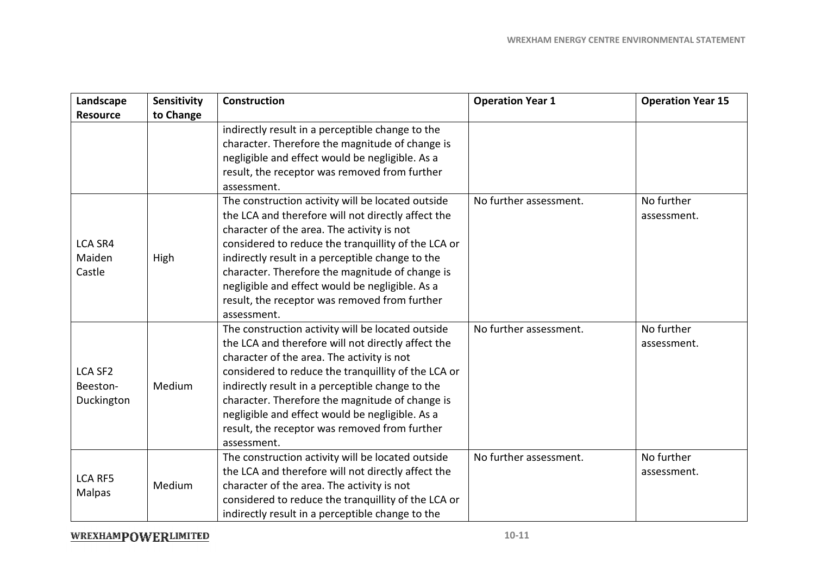| Landscape                                | Sensitivity | <b>Construction</b>                                                                                                                                                                                                                                                                                                                                                                                                                    | <b>Operation Year 1</b> | <b>Operation Year 15</b>  |
|------------------------------------------|-------------|----------------------------------------------------------------------------------------------------------------------------------------------------------------------------------------------------------------------------------------------------------------------------------------------------------------------------------------------------------------------------------------------------------------------------------------|-------------------------|---------------------------|
| <b>Resource</b>                          | to Change   |                                                                                                                                                                                                                                                                                                                                                                                                                                        |                         |                           |
|                                          |             | indirectly result in a perceptible change to the<br>character. Therefore the magnitude of change is<br>negligible and effect would be negligible. As a<br>result, the receptor was removed from further<br>assessment.                                                                                                                                                                                                                 |                         |                           |
| <b>LCA SR4</b><br>Maiden<br>Castle       | High        | The construction activity will be located outside<br>the LCA and therefore will not directly affect the<br>character of the area. The activity is not<br>considered to reduce the tranquillity of the LCA or<br>indirectly result in a perceptible change to the<br>character. Therefore the magnitude of change is<br>negligible and effect would be negligible. As a<br>result, the receptor was removed from further<br>assessment. | No further assessment.  | No further<br>assessment. |
| <b>LCA SF2</b><br>Beeston-<br>Duckington | Medium      | The construction activity will be located outside<br>the LCA and therefore will not directly affect the<br>character of the area. The activity is not<br>considered to reduce the tranquillity of the LCA or<br>indirectly result in a perceptible change to the<br>character. Therefore the magnitude of change is<br>negligible and effect would be negligible. As a<br>result, the receptor was removed from further<br>assessment. | No further assessment.  | No further<br>assessment. |
| <b>LCA RF5</b><br>Malpas                 | Medium      | The construction activity will be located outside<br>the LCA and therefore will not directly affect the<br>character of the area. The activity is not<br>considered to reduce the tranquillity of the LCA or<br>indirectly result in a perceptible change to the                                                                                                                                                                       | No further assessment.  | No further<br>assessment. |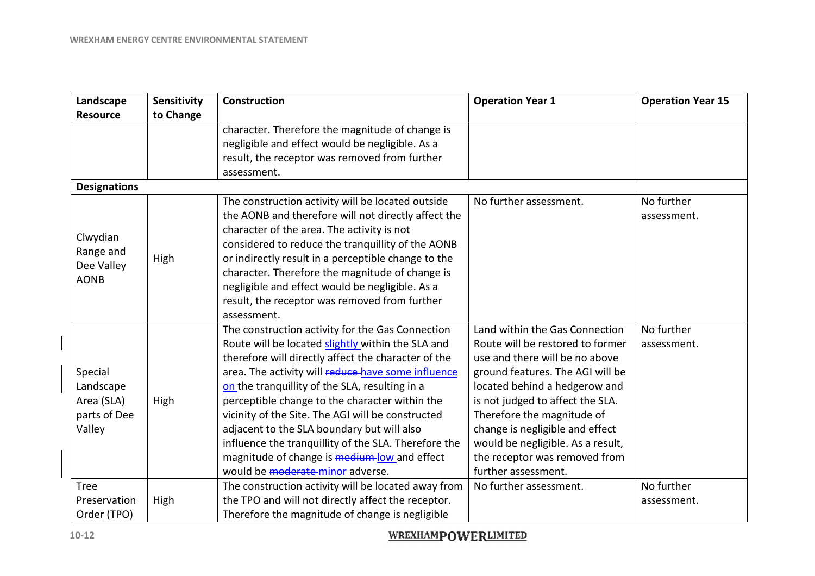| Landscape<br><b>Resource</b>                                 | Sensitivity<br>to Change | <b>Construction</b>                                                                                                                                                                                                                                                                                                                                                                                                                                                                                                                                                   | <b>Operation Year 1</b>                                                                                                                                                                                                                                                                                                                                                     | <b>Operation Year 15</b>  |
|--------------------------------------------------------------|--------------------------|-----------------------------------------------------------------------------------------------------------------------------------------------------------------------------------------------------------------------------------------------------------------------------------------------------------------------------------------------------------------------------------------------------------------------------------------------------------------------------------------------------------------------------------------------------------------------|-----------------------------------------------------------------------------------------------------------------------------------------------------------------------------------------------------------------------------------------------------------------------------------------------------------------------------------------------------------------------------|---------------------------|
|                                                              |                          | character. Therefore the magnitude of change is<br>negligible and effect would be negligible. As a<br>result, the receptor was removed from further<br>assessment.                                                                                                                                                                                                                                                                                                                                                                                                    |                                                                                                                                                                                                                                                                                                                                                                             |                           |
| <b>Designations</b>                                          |                          |                                                                                                                                                                                                                                                                                                                                                                                                                                                                                                                                                                       |                                                                                                                                                                                                                                                                                                                                                                             |                           |
| Clwydian<br>Range and<br>Dee Valley<br><b>AONB</b>           | High                     | The construction activity will be located outside<br>the AONB and therefore will not directly affect the<br>character of the area. The activity is not<br>considered to reduce the tranquillity of the AONB<br>or indirectly result in a perceptible change to the<br>character. Therefore the magnitude of change is<br>negligible and effect would be negligible. As a<br>result, the receptor was removed from further<br>assessment.                                                                                                                              | No further assessment.                                                                                                                                                                                                                                                                                                                                                      | No further<br>assessment. |
| Special<br>Landscape<br>Area (SLA)<br>parts of Dee<br>Valley | High                     | The construction activity for the Gas Connection<br>Route will be located slightly within the SLA and<br>therefore will directly affect the character of the<br>area. The activity will reduce-have some influence<br>on the tranquillity of the SLA, resulting in a<br>perceptible change to the character within the<br>vicinity of the Site. The AGI will be constructed<br>adjacent to the SLA boundary but will also<br>influence the tranquillity of the SLA. Therefore the<br>magnitude of change is medium-low and effect<br>would be moderate-minor adverse. | Land within the Gas Connection<br>Route will be restored to former<br>use and there will be no above<br>ground features. The AGI will be<br>located behind a hedgerow and<br>is not judged to affect the SLA.<br>Therefore the magnitude of<br>change is negligible and effect<br>would be negligible. As a result,<br>the receptor was removed from<br>further assessment. | No further<br>assessment. |
| <b>Tree</b><br>Preservation<br>Order (TPO)                   | High                     | The construction activity will be located away from<br>the TPO and will not directly affect the receptor.<br>Therefore the magnitude of change is negligible                                                                                                                                                                                                                                                                                                                                                                                                          | No further assessment.                                                                                                                                                                                                                                                                                                                                                      | No further<br>assessment. |